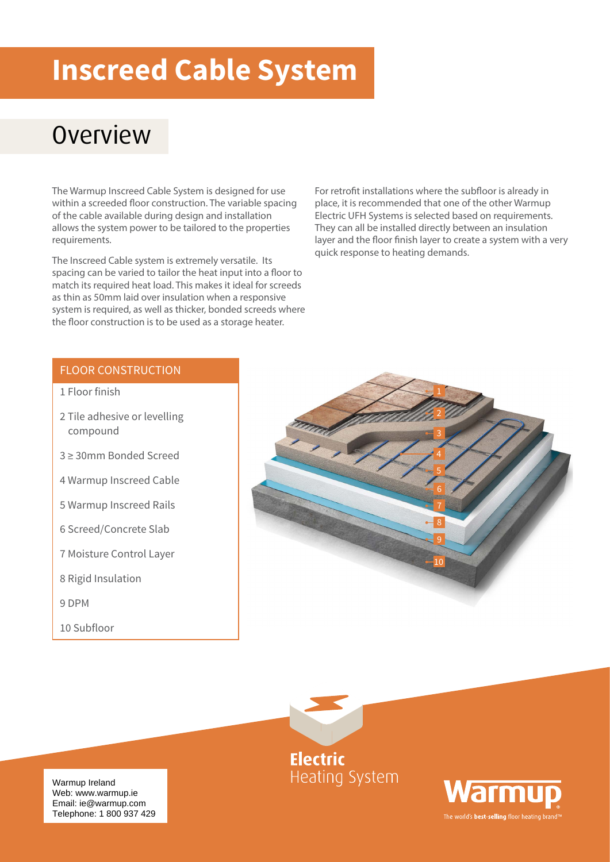# **Inscreed Cable System**

### **Overview**

The Warmup Inscreed Cable System is designed for use within a screeded floor construction. The variable spacing of the cable available during design and installation allows the system power to be tailored to the properties requirements.

The Inscreed Cable system is extremely versatile. Its spacing can be varied to tailor the heat input into a floor to match its required heat load. This makes it ideal for screeds as thin as 50mm laid over insulation when a responsive system is required, as well as thicker, bonded screeds where the floor construction is to be used as a storage heater.

For retrofit installations where the subfloor is already in place, it is recommended that one of the other Warmup Electric UFH Systems is selected based on requirements. They can all be installed directly between an insulation layer and the floor finish layer to create a system with a very quick response to heating demands.

#### FLOOR CONSTRUCTION

- 1 Floor finish
- 2 Tile adhesive or levelling compound
- 3 ≥ 30mm Bonded Screed
- 4 Warmup Inscreed Cable
- 5 Warmup Inscreed Rails
- 6 Screed/Concrete Slab
- 7 Moisture Control Layer
- 8 Rigid Insulation

9 DPM

10 Subfloor







Warmup Ireland<br>Wahayayayayaya is Email: ie@warmup.com Telephone: 1 800 937 429 Web: www.warmup.ie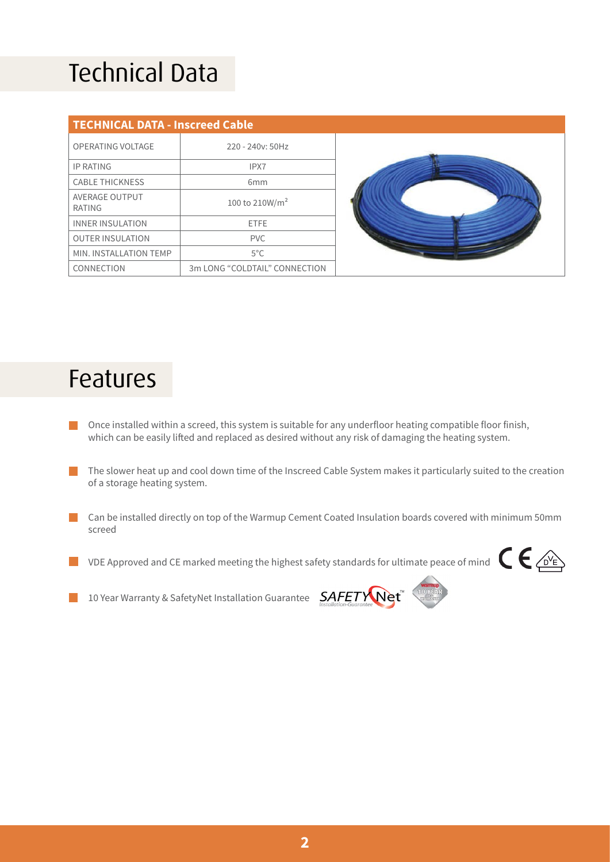# Technical Data

| <b>TECHNICAL DATA - Inscreed Cable</b> |                               |  |  |
|----------------------------------------|-------------------------------|--|--|
| OPERATING VOLTAGE                      | $220 - 240y$ : 50Hz           |  |  |
| <b>IP RATING</b>                       | IPX7                          |  |  |
| <b>CABLE THICKNESS</b>                 | 6 <sub>mm</sub>               |  |  |
| AVERAGE OUTPUT<br>RATING               | 100 to 210W/m <sup>2</sup>    |  |  |
| <b>INNER INSULATION</b>                | <b>FTFF</b>                   |  |  |
| <b>OUTER INSULATION</b>                | PVC.                          |  |  |
| MIN. INSTALLATION TEMP                 | $5^{\circ}$ C                 |  |  |
| CONNECTION                             | 3m LONG "COLDTAIL" CONNECTION |  |  |



### Features

- Once installed within a screed, this system is suitable for any underfloor heating compatible floor finish, which can be easily lifted and replaced as desired without any risk of damaging the heating system.
- The slower heat up and cool down time of the Inscreed Cable System makes it particularly suited to the creation of a storage heating system.
- Can be installed directly on top of the Warmup Cement Coated Insulation boards covered with minimum 50mm screed
- VDE Approved and CE marked meeting the highest safety standards for ultimate peace of mind  $\epsilon \in \mathbb{Z}$ l I



10 Year Warranty & SafetyNet Installation Guarantee  $SAFETV$ Net

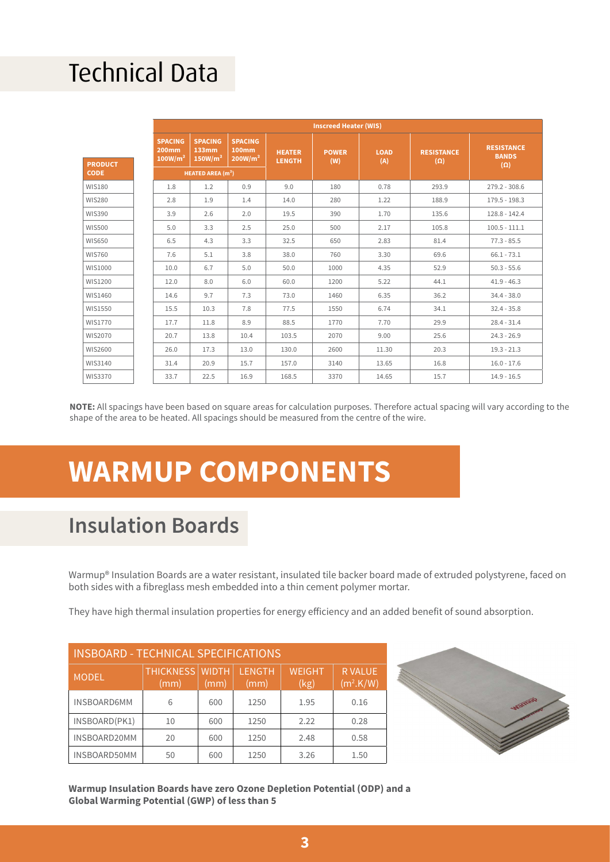### Technical Data

|                | <b>Inscreed Heater (WIS)</b>                   |                                                |                                                |                                |                     |                    |                                 |                                                 |
|----------------|------------------------------------------------|------------------------------------------------|------------------------------------------------|--------------------------------|---------------------|--------------------|---------------------------------|-------------------------------------------------|
| <b>PRODUCT</b> | <b>SPACING</b><br>200mm<br>100W/m <sup>2</sup> | <b>SPACING</b><br>133mm<br>150W/m <sup>2</sup> | <b>SPACING</b><br>100mm<br>200W/m <sup>2</sup> | <b>HEATER</b><br><b>LENGTH</b> | <b>POWER</b><br>(W) | <b>LOAD</b><br>(A) | <b>RESISTANCE</b><br>$(\Omega)$ | <b>RESISTANCE</b><br><b>BANDS</b><br>$(\Omega)$ |
| <b>CODE</b>    | <b>HEATED AREA (m<sup>2</sup>)</b>             |                                                |                                                |                                |                     |                    |                                 |                                                 |
| <b>WIS180</b>  | 1.8                                            | 1.2                                            | 0.9                                            | 9.0                            | 180                 | 0.78               | 293.9                           | $279.2 - 308.6$                                 |
| <b>WIS280</b>  | 2.8                                            | 1.9                                            | 1.4                                            | 14.0                           | 280                 | 1.22               | 188.9                           | $179.5 - 198.3$                                 |
| <b>WIS390</b>  | 3.9                                            | 2.6                                            | 2.0                                            | 19.5                           | 390                 | 1.70               | 135.6                           | $128.8 - 142.4$                                 |
| <b>WIS500</b>  | 5.0                                            | 3.3                                            | 2.5                                            | 25.0                           | 500                 | 2.17               | 105.8                           | $100.5 - 111.1$                                 |
| <b>WIS650</b>  | 6.5                                            | 4.3                                            | 3.3                                            | 32.5                           | 650                 | 2.83               | 81.4                            | $77.3 - 85.5$                                   |
| <b>WIS760</b>  | 7.6                                            | 5.1                                            | 3.8                                            | 38.0                           | 760                 | 3.30               | 69.6                            | $66.1 - 73.1$                                   |
| WIS1000        | 10.0                                           | 6.7                                            | 5.0                                            | 50.0                           | 1000                | 4.35               | 52.9                            | $50.3 - 55.6$                                   |
| WIS1200        | 12.0                                           | 8.0                                            | 6.0                                            | 60.0                           | 1200                | 5.22               | 44.1                            | $41.9 - 46.3$                                   |
| WIS1460        | 14.6                                           | 9.7                                            | 7.3                                            | 73.0                           | 1460                | 6.35               | 36.2                            | $34.4 - 38.0$                                   |
| WIS1550        | 15.5                                           | 10.3                                           | 7.8                                            | 77.5                           | 1550                | 6.74               | 34.1                            | $32.4 - 35.8$                                   |
| WIS1770        | 17.7                                           | 11.8                                           | 8.9                                            | 88.5                           | 1770                | 7.70               | 29.9                            | $28.4 - 31.4$                                   |
| WIS2070        | 20.7                                           | 13.8                                           | 10.4                                           | 103.5                          | 2070                | 9.00               | 25.6                            | $24.3 - 26.9$                                   |
| WIS2600        | 26.0                                           | 17.3                                           | 13.0                                           | 130.0                          | 2600                | 11.30              | 20.3                            | $19.3 - 21.3$                                   |
| WIS3140        | 31.4                                           | 20.9                                           | 15.7                                           | 157.0                          | 3140                | 13.65              | 16.8                            | $16.0 - 17.6$                                   |
| WIS3370        | 33.7                                           | 22.5                                           | 16.9                                           | 168.5                          | 3370                | 14.65              | 15.7                            | $14.9 - 16.5$                                   |

**NOTE:** All spacings have been based on square areas for calculation purposes. Therefore actual spacing will vary according to the shape of the area to be heated. All spacings should be measured from the centre of the wire.

### **WARMUP COMPONENTS**

#### **Insulation Boards**

Warmup® Insulation Boards are a water resistant, insulated tile backer board made of extruded polystyrene, faced on both sides with a fibreglass mesh embedded into a thin cement polymer mortar.

They have high thermal insulation properties for energy efficiency and an added benefit of sound absorption.

| <b>INSBOARD - TECHNICAL SPECIFICATIONS</b> |                                |      |                       |                       |                                        |
|--------------------------------------------|--------------------------------|------|-----------------------|-----------------------|----------------------------------------|
| <b>MODEL</b>                               | <b>THICKNESS WIDTH</b><br>(mm) | (mm) | <b>LENGTH</b><br>(mm) | <b>WEIGHT</b><br>(kg) | <b>RVALUE</b><br>(m <sup>2</sup> .K/W) |
| <b>INSBOARD6MM</b>                         | 6                              | 600  | 1250                  | 1.95                  | 0.16                                   |
| INSBOARD(PK1)                              | 10                             | 600  | 1250                  | 2.22                  | 0.28                                   |
| INSBOARD20MM                               | 20                             | 600  | 1250                  | 2.48                  | 0.58                                   |
| INSBOARD50MM                               | 50                             | 600  | 1250                  | 3.26                  | 1.50                                   |



**Warmup Insulation Boards have zero Ozone Depletion Potential (ODP) and a Global Warming Potential (GWP) of less than 5**